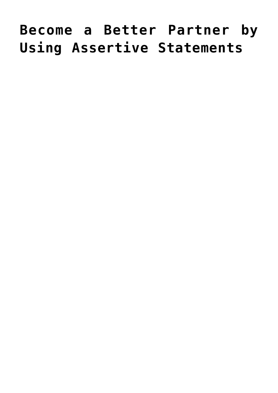## **[Become a Better Partner by](https://livewellutah.org/2016/07/22/become-a-better-partner-by-using-assertive-statements/) [Using Assertive Statements](https://livewellutah.org/2016/07/22/become-a-better-partner-by-using-assertive-statements/)**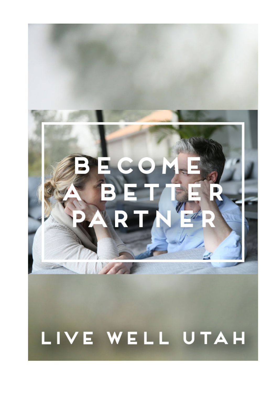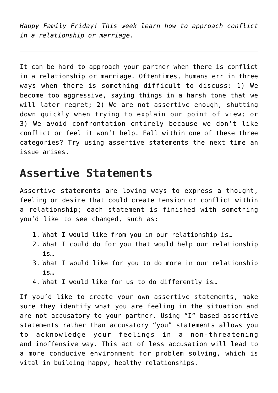*Happy Family Friday! This week learn how to approach conflict in a relationship or marriage.*

It can be hard to approach your partner when there is conflict in a relationship or marriage. Oftentimes, humans err in three ways when there is something difficult to discuss: 1) We become too aggressive, saying things in a harsh tone that we will later regret; 2) We are not assertive enough, shutting down quickly when trying to explain our point of view; or 3) We avoid confrontation entirely because we don't like conflict or feel it won't help. Fall within one of these three categories? Try using assertive statements the next time an issue arises.

## **Assertive Statements**

Assertive statements are loving ways to express a thought, feeling or desire that could create tension or conflict within a relationship; each statement is finished with something you'd like to see changed, such as:

- 1. What I would like from you in our relationship is…
- 2. What I could do for you that would help our relationship is…
- 3. What I would like for you to do more in our relationship is…
- 4. What I would like for us to do differently is…

If you'd like to create your own assertive statements, make sure they identify what you are feeling in the situation and are not accusatory to your partner. Using "I" based assertive statements rather than accusatory "you" statements allows you to acknowledge your feelings in a non-threatening and inoffensive way. This act of less accusation will lead to a more conducive environment for problem solving, which is vital in building happy, healthy relationships.